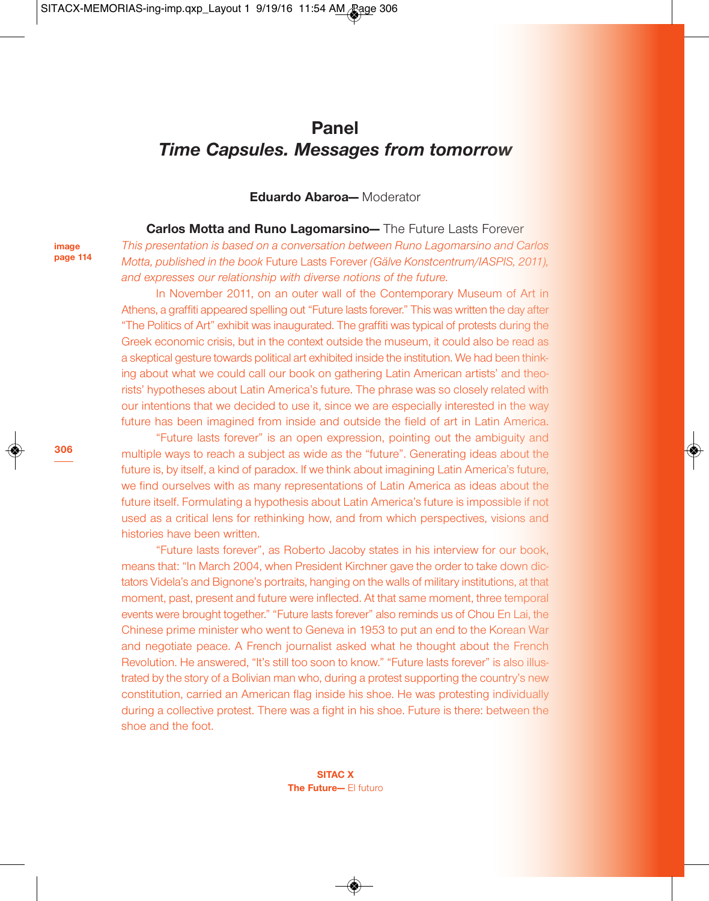# **Panel** *Time Capsules. Messages from tomorrow*

**Eduardo Abaroa—** Moderator

**Carlos Motta and Runo Lagomarsino—** The Future Lasts Forever *This presentation is based on a conversation between Runo Lagomarsino and Carlos Motta, published in the book* Future Lasts Forever *(Gälve Konstcentrum/IASPIS, 2011),*

*and expresses our relationship with diverse notions of the future.* In November 2011, on an outer wall of the Contemporary Museum of Art in

Athens, a graffiti appeared spelling out "Future lasts forever." This was written the day after "The Politics of Art" exhibit was inaugurated. The graffiti was typical of protests during the Greek economic crisis, but in the context outside the museum, it could also be read as a skeptical gesture towards political art exhibited inside the institution. We had been thinking about what we could call our book on gathering Latin American artists' and theorists' hypotheses about Latin America's future. The phrase was so closely related with our intentions that we decided to use it, since we are especially interested in the way future has been imagined from inside and outside the field of art in Latin America.

"Future lasts forever" is an open expression, pointing out the ambiguity and multiple ways to reach a subject as wide as the "future". Generating ideas about the future is, by itself, a kind of paradox. If we think about imagining Latin America's future, we find ourselves with as many representations of Latin America as ideas about the future itself. Formulating a hypothesis about Latin America's future is impossible if not used as a critical lens for rethinking how, and from which perspectives, visions and histories have been written.

"Future lasts forever", as Roberto Jacoby states in his interview for our book, means that: "In March 2004, when President Kirchner gave the order to take down dictators Videla's and Bignone's portraits, hanging on the walls of military institutions, at that moment, past, present and future were inflected. At that same moment, three temporal events were brought together." "Future lasts forever" also reminds us of Chou En Lai, the Chinese prime minister who went to Geneva in 1953 to put an end to the Korean War and negotiate peace. A French journalist asked what he thought about the French Revolution. He answered, "It's still too soon to know." "Future lasts forever" is also illustrated by the story of a Bolivian man who, during a protest supporting the country's new constitution, carried an American flag inside his shoe. He was protesting individually during a collective protest. There was a fight in his shoe. Future is there: between the shoe and the foot.

> **SITAC X The Future—** El futuro

**306**

**image page 114**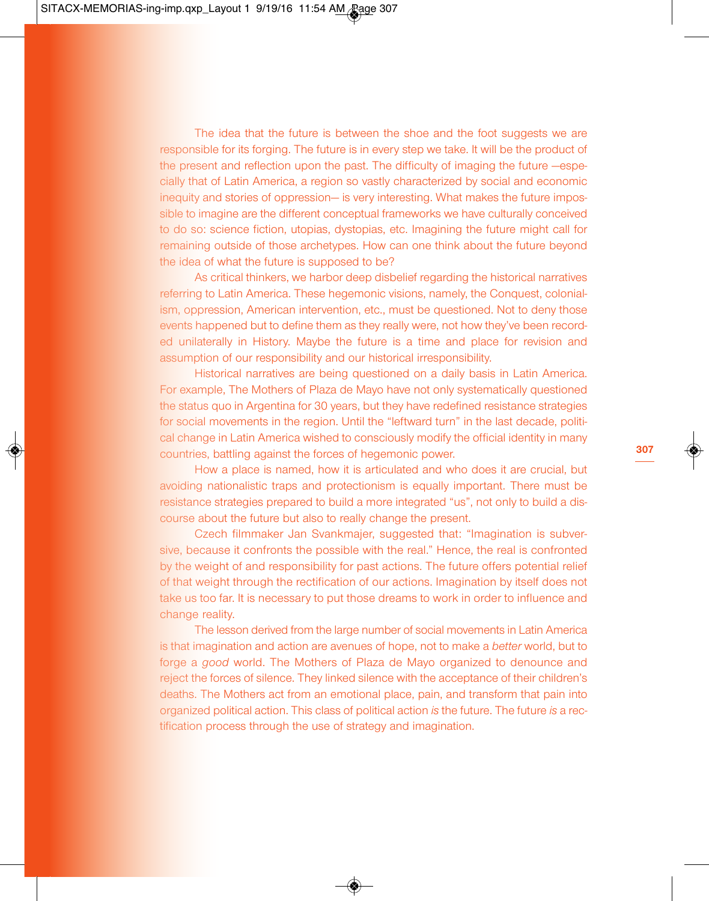The idea that the future is between the shoe and the foot suggests we are responsible for its forging. The future is in every step we take. It will be the product of the present and reflection upon the past. The difficulty of imaging the future —especially that of Latin America, a region so vastly characterized by social and economic inequity and stories of oppression— is very interesting. What makes the future impossible to imagine are the different conceptual frameworks we have culturally conceived to do so: science fiction, utopias, dystopias, etc. Imagining the future might call for remaining outside of those archetypes. How can one think about the future beyond the idea of what the future is supposed to be?

As critical thinkers, we harbor deep disbelief regarding the historical narratives referring to Latin America. These hegemonic visions, namely, the Conquest, colonialism, oppression, American intervention, etc., must be questioned. Not to deny those events happened but to define them as they really were, not how they've been recorded unilaterally in History. Maybe the future is a time and place for revision and assumption of our responsibility and our historical irresponsibility.

Historical narratives are being questioned on a daily basis in Latin America. For example, The Mothers of Plaza de Mayo have not only systematically questioned the status quo in Argentina for 30 years, but they have redefined resistance strategies for social movements in the region. Until the "leftward turn" in the last decade, political change in Latin America wished to consciously modify the official identity in many countries, battling against the forces of hegemonic power.

How a place is named, how it is articulated and who does it are crucial, but avoiding nationalistic traps and protectionism is equally important. There must be resistance strategies prepared to build a more integrated "us", not only to build a discourse about the future but also to really change the present.

Czech filmmaker Jan Svankmajer, suggested that: "Imagination is subversive, because it confronts the possible with the real." Hence, the real is confronted by the weight of and responsibility for past actions. The future offers potential relief of that weight through the rectification of our actions. Imagination by itself does not take us too far. It is necessary to put those dreams to work in order to influence and change reality.

The lesson derived from the large number of social movements in Latin America is that imagination and action are avenues of hope, not to make a *better* world, but to forge a *good* world. The Mothers of Plaza de Mayo organized to denounce and reject the forces of silence. They linked silence with the acceptance of their children's deaths. The Mothers act from an emotional place, pain, and transform that pain into organized political action. This class of political action *is* the future. The future *is* a rectification process through the use of strategy and imagination.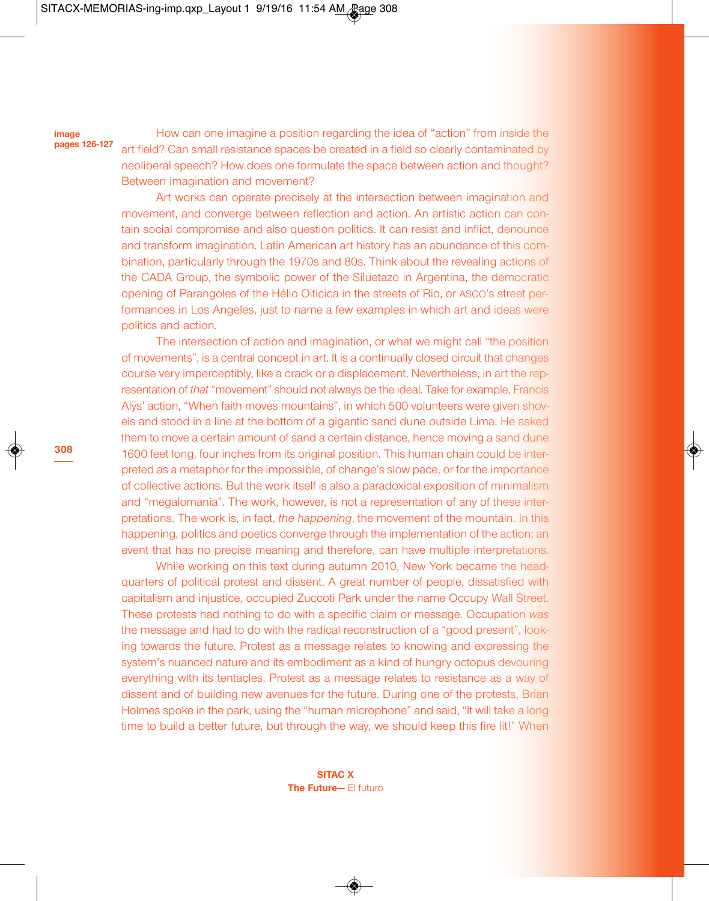#### **image pages 126-127**

**308**

How can one imagine a position regarding the idea of "action" from inside the art field? Can small resistance spaces be created in a field so clearly contaminated by neoliberal speech? How does one formulate the space between action and thought? Between imagination and movement?

Art works can operate precisely at the intersection between imagination and movement, and converge between reflection and action. An artistic action can contain social compromise and also question politics. It can resist and inflict, denounce and transform imagination. Latin American art history has an abundance of this combination, particularly through the 1970s and 80s. Think about the revealing actions of the CADA Group, the symbolic power of the Siluetazo in Argentina, the democratic opening of Parangoles of the Hélio Oiticica in the streets of Rio, or ASCO's street performances in Los Angeles, just to name a few examples in which art and ideas were politics and action.

The intersection of action and imagination, or what we might call "the position of movements", is a central concept in art. It is a continually closed circuit that changes course very imperceptibly, like a crack or a displacement. Nevertheless, in art the representation of *that* "movement" should not always be the ideal. Take for example, Francis Alÿs' action, "When faith moves mountains", in which 500 volunteers were given shovels and stood in a line at the bottom of a gigantic sand dune outside Lima. He asked them to move a certain amount of sand a certain distance, hence moving a sand dune 1600 feet long, four inches from its original position. This human chain could be interpreted as a metaphor for the impossible, of change's slow pace, or for the importance of collective actions. But the work itself is also a paradoxical exposition of minimalism and "megalomania". The work, however, is not a representation of any of these interpretations. The work is, in fact, *the happening*, the movement of the mountain. In this happening, politics and poetics converge through the implementation of the action: an event that has no precise meaning and therefore, can have multiple interpretations.

While working on this text during autumn 2010, New York became the headquarters of political protest and dissent. A great number of people, dissatisfied with capitalism and injustice, occupied Zuccoti Park under the name Occupy Wall Street. These protests had nothing to do with a specific claim or message. Occupation *was* the message and had to do with the radical reconstruction of a "good present", looking towards the future. Protest as a message relates to knowing and expressing the system's nuanced nature and its embodiment as a kind of hungry octopus devouring everything with its tentacles. Protest as a message relates to resistance as a way of dissent and of building new avenues for the future. During one of the protests, Brian Holmes spoke in the park, using the "human microphone" and said, "It will take a long time to build a better future, but through the way, we should keep this fire lit!" When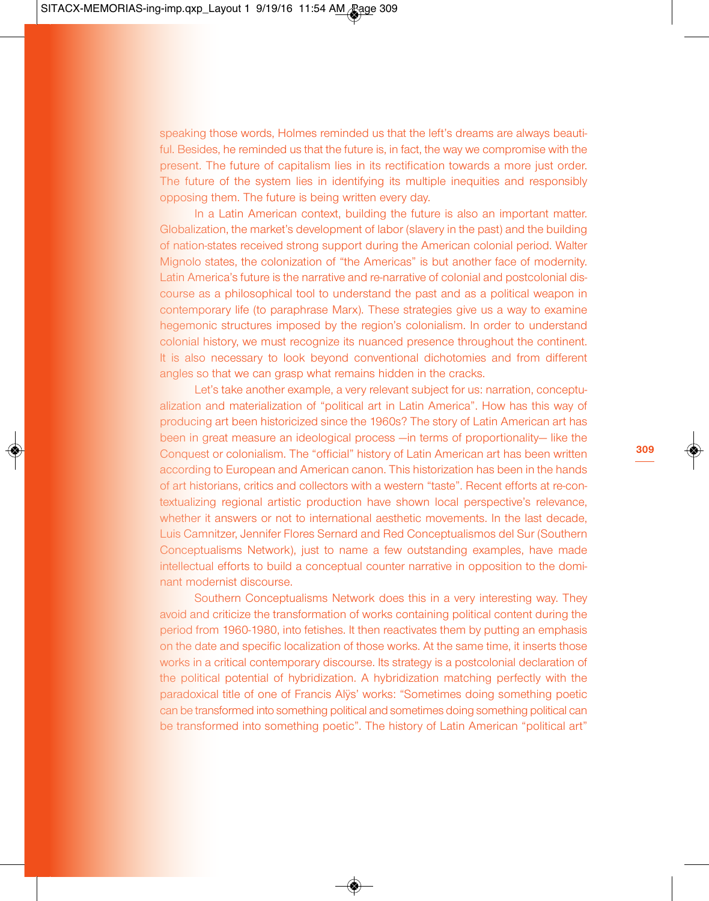speaking those words, Holmes reminded us that the left's dreams are always beautiful. Besides, he reminded us that the future is, in fact, the way we compromise with the present. The future of capitalism lies in its rectification towards a more just order. The future of the system lies in identifying its multiple inequities and responsibly opposing them. The future is being written every day.

In a Latin American context, building the future is also an important matter. Globalization, the market's development of labor (slavery in the past) and the building of nation-states received strong support during the American colonial period. Walter Mignolo states, the colonization of "the Americas" is but another face of modernity. Latin America's future is the narrative and re-narrative of colonial and postcolonial discourse as a philosophical tool to understand the past and as a political weapon in contemporary life (to paraphrase Marx). These strategies give us a way to examine hegemonic structures imposed by the region's colonialism. In order to understand colonial history, we must recognize its nuanced presence throughout the continent. It is also necessary to look beyond conventional dichotomies and from different angles so that we can grasp what remains hidden in the cracks.

Let's take another example, a very relevant subject for us: narration, conceptualization and materialization of "political art in Latin America". How has this way of producing art been historicized since the 1960s? The story of Latin American art has been in great measure an ideological process —in terms of proportionality— like the Conquest or colonialism. The "official" history of Latin American art has been written according to European and American canon. This historization has been in the hands of art historians, critics and collectors with a western "taste". Recent efforts at re-contextualizing regional artistic production have shown local perspective's relevance, whether it answers or not to international aesthetic movements. In the last decade, Luis Camnitzer, Jennifer Flores Sernard and Red Conceptualismos del Sur (Southern Conceptualisms Network), just to name a few outstanding examples, have made intellectual efforts to build a conceptual counter narrative in opposition to the dominant modernist discourse.

Southern Conceptualisms Network does this in a very interesting way. They avoid and criticize the transformation of works containing political content during the period from 1960-1980, into fetishes. It then reactivates them by putting an emphasis on the date and specific localization of those works. At the same time, it inserts those works in a critical contemporary discourse. Its strategy is a postcolonial declaration of the political potential of hybridization. A hybridization matching perfectly with the paradoxical title of one of Francis Alÿs' works: "Sometimes doing something poetic can be transformed into something political and sometimes doing something political can be transformed into something poetic". The history of Latin American "political art"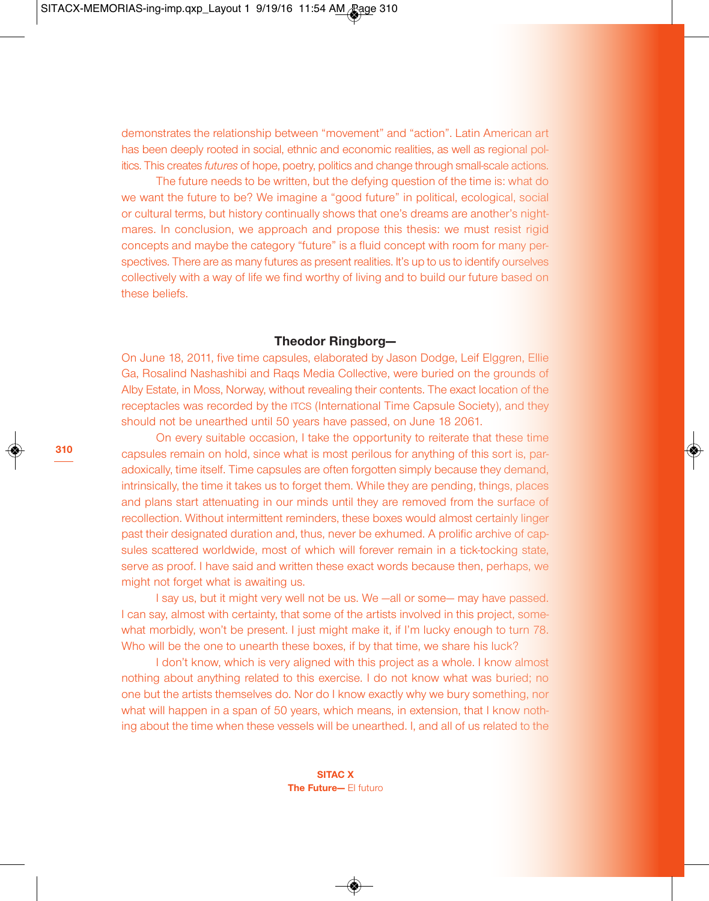demonstrates the relationship between "movement" and "action". Latin American art has been deeply rooted in social, ethnic and economic realities, as well as regional politics. This creates *futures* of hope, poetry, politics and change through small-scale actions.

The future needs to be written, but the defying question of the time is: what do we want the future to be? We imagine a "good future" in political, ecological, social or cultural terms, but history continually shows that one's dreams are another's nightmares. In conclusion, we approach and propose this thesis: we must resist rigid concepts and maybe the category "future" is a fluid concept with room for many perspectives. There are as many futures as present realities. It's up to us to identify ourselves collectively with a way of life we find worthy of living and to build our future based on these beliefs.

#### **Theodor Ringborg—**

On June 18, 2011, five time capsules, elaborated by Jason Dodge, Leif Elggren, Ellie Ga, Rosalind Nashashibi and Raqs Media Collective, were buried on the grounds of Alby Estate, in Moss, Norway, without revealing their contents. The exact location of the receptacles was recorded by the ITCS (International Time Capsule Society), and they should not be unearthed until 50 years have passed, on June 18 2061.

On every suitable occasion, I take the opportunity to reiterate that these time capsules remain on hold, since what is most perilous for anything of this sort is, paradoxically, time itself. Time capsules are often forgotten simply because they demand, intrinsically, the time it takes us to forget them. While they are pending, things, places and plans start attenuating in our minds until they are removed from the surface of recollection. Without intermittent reminders, these boxes would almost certainly linger past their designated duration and, thus, never be exhumed. A prolific archive of capsules scattered worldwide, most of which will forever remain in a tick-tocking state, serve as proof. I have said and written these exact words because then, perhaps, we might not forget what is awaiting us.

I say us, but it might very well not be us. We —all or some— may have passed. I can say, almost with certainty, that some of the artists involved in this project, somewhat morbidly, won't be present. I just might make it, if I'm lucky enough to turn 78. Who will be the one to unearth these boxes, if by that time, we share his luck?

I don't know, which is very aligned with this project as a whole. I know almost nothing about anything related to this exercise. I do not know what was buried; no one but the artists themselves do. Nor do I know exactly why we bury something, nor what will happen in a span of 50 years, which means, in extension, that I know nothing about the time when these vessels will be unearthed. I, and all of us related to the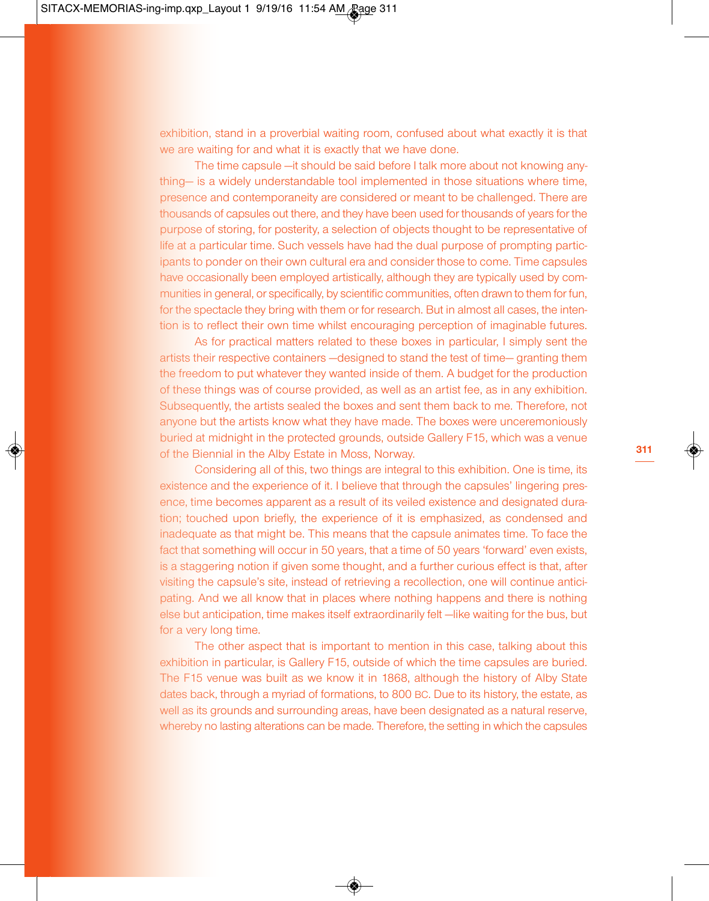exhibition, stand in a proverbial waiting room, confused about what exactly it is that we are waiting for and what it is exactly that we have done.

The time capsule —it should be said before I talk more about not knowing anything— is a widely understandable tool implemented in those situations where time, presence and contemporaneity are considered or meant to be challenged. There are thousands of capsules out there, and they have been used for thousands of years for the purpose of storing, for posterity, a selection of objects thought to be representative of life at a particular time. Such vessels have had the dual purpose of prompting participants to ponder on their own cultural era and consider those to come. Time capsules have occasionally been employed artistically, although they are typically used by communities in general, or specifically, by scientific communities, often drawn to them for fun, for the spectacle they bring with them or for research. But in almost all cases, the intention is to reflect their own time whilst encouraging perception of imaginable futures.

As for practical matters related to these boxes in particular, I simply sent the artists their respective containers —designed to stand the test of time— granting them the freedom to put whatever they wanted inside of them. A budget for the production of these things was of course provided, as well as an artist fee, as in any exhibition. Subsequently, the artists sealed the boxes and sent them back to me. Therefore, not anyone but the artists know what they have made. The boxes were unceremoniously buried at midnight in the protected grounds, outside Gallery F15, which was a venue of the Biennial in the Alby Estate in Moss, Norway.

Considering all of this, two things are integral to this exhibition. One is time, its existence and the experience of it. I believe that through the capsules' lingering presence, time becomes apparent as a result of its veiled existence and designated duration; touched upon briefly, the experience of it is emphasized, as condensed and inadequate as that might be. This means that the capsule animates time. To face the fact that something will occur in 50 years, that a time of 50 years 'forward' even exists, is a staggering notion if given some thought, and a further curious effect is that, after visiting the capsule's site, instead of retrieving a recollection, one will continue anticipating. And we all know that in places where nothing happens and there is nothing else but anticipation, time makes itself extraordinarily felt —like waiting for the bus, but for a very long time.

The other aspect that is important to mention in this case, talking about this exhibition in particular, is Gallery F15, outside of which the time capsules are buried. The F15 venue was built as we know it in 1868, although the history of Alby State dates back, through a myriad of formations, to 800 BC. Due to its history, the estate, as well as its grounds and surrounding areas, have been designated as a natural reserve, whereby no lasting alterations can be made. Therefore, the setting in which the capsules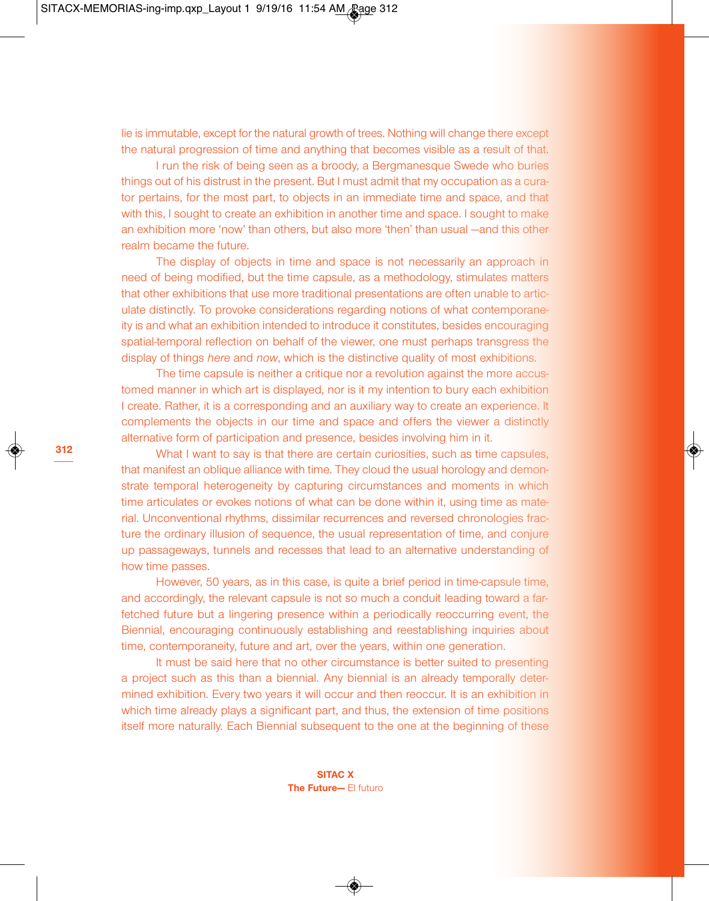lie is immutable, except for the natural growth of trees. Nothing will change there except the natural progression of time and anything that becomes visible as a result of that.

I run the risk of being seen as a broody, a Bergmanesque Swede who buries things out of his distrust in the present. But I must admit that my occupation as a curator pertains, for the most part, to objects in an immediate time and space, and that with this, I sought to create an exhibition in another time and space. I sought to make an exhibition more 'now' than others, but also more 'then' than usual —and this other realm became the future.

The display of objects in time and space is not necessarily an approach in need of being modified, but the time capsule, as a methodology, stimulates matters that other exhibitions that use more traditional presentations are often unable to articulate distinctly. To provoke considerations regarding notions of what contemporaneity is and what an exhibition intended to introduce it constitutes, besides encouraging spatial-temporal reflection on behalf of the viewer, one must perhaps transgress the display of things *here* and *now*, which is the distinctive quality of most exhibitions.

The time capsule is neither a critique nor a revolution against the more accustomed manner in which art is displayed, nor is it my intention to bury each exhibition I create. Rather, it is a corresponding and an auxiliary way to create an experience. It complements the objects in our time and space and offers the viewer a distinctly alternative form of participation and presence, besides involving him in it.

What I want to say is that there are certain curiosities, such as time capsules, that manifest an oblique alliance with time. They cloud the usual horology and demonstrate temporal heterogeneity by capturing circumstances and moments in which time articulates or evokes notions of what can be done within it, using time as material. Unconventional rhythms, dissimilar recurrences and reversed chronologies fracture the ordinary illusion of sequence, the usual representation of time, and conjure up passageways, tunnels and recesses that lead to an alternative understanding of how time passes.

However, 50 years, as in this case, is quite a brief period in time-capsule time, and accordingly, the relevant capsule is not so much a conduit leading toward a farfetched future but a lingering presence within a periodically reoccurring event, the Biennial, encouraging continuously establishing and reestablishing inquiries about time, contemporaneity, future and art, over the years, within one generation.

It must be said here that no other circumstance is better suited to presenting a project such as this than a biennial. Any biennial is an already temporally determined exhibition. Every two years it will occur and then reoccur. It is an exhibition in which time already plays a significant part, and thus, the extension of time positions itself more naturally. Each Biennial subsequent to the one at the beginning of these

**312**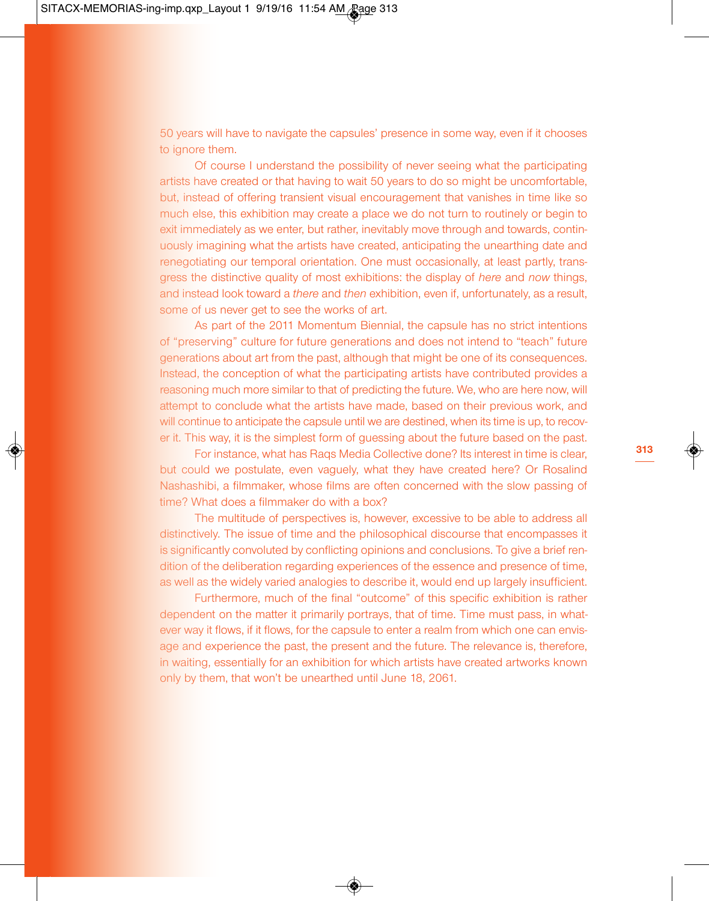50 years will have to navigate the capsules' presence in some way, even if it chooses to ignore them.

Of course I understand the possibility of never seeing what the participating artists have created or that having to wait 50 years to do so might be uncomfortable, but, instead of offering transient visual encouragement that vanishes in time like so much else, this exhibition may create a place we do not turn to routinely or begin to exit immediately as we enter, but rather, inevitably move through and towards, continuously imagining what the artists have created, anticipating the unearthing date and renegotiating our temporal orientation. One must occasionally, at least partly, transgress the distinctive quality of most exhibitions: the display of *here* and *now* things, and instead look toward a *there* and *then* exhibition, even if, unfortunately, as a result, some of us never get to see the works of art.

As part of the 2011 Momentum Biennial, the capsule has no strict intentions of "preserving" culture for future generations and does not intend to "teach" future generations about art from the past, although that might be one of its consequences. Instead, the conception of what the participating artists have contributed provides a reasoning much more similar to that of predicting the future. We, who are here now, will attempt to conclude what the artists have made, based on their previous work, and will continue to anticipate the capsule until we are destined, when its time is up, to recover it. This way, it is the simplest form of guessing about the future based on the past.

For instance, what has Raqs Media Collective done? Its interest in time is clear, but could we postulate, even vaguely, what they have created here? Or Rosalind Nashashibi, a filmmaker, whose films are often concerned with the slow passing of time? What does a filmmaker do with a box?

The multitude of perspectives is, however, excessive to be able to address all distinctively. The issue of time and the philosophical discourse that encompasses it is significantly convoluted by conflicting opinions and conclusions. To give a brief rendition of the deliberation regarding experiences of the essence and presence of time, as well as the widely varied analogies to describe it, would end up largely insufficient.

Furthermore, much of the final "outcome" of this specific exhibition is rather dependent on the matter it primarily portrays, that of time. Time must pass, in whatever way it flows, if it flows, for the capsule to enter a realm from which one can envisage and experience the past, the present and the future. The relevance is, therefore, in waiting, essentially for an exhibition for which artists have created artworks known only by them, that won't be unearthed until June 18, 2061.

**313**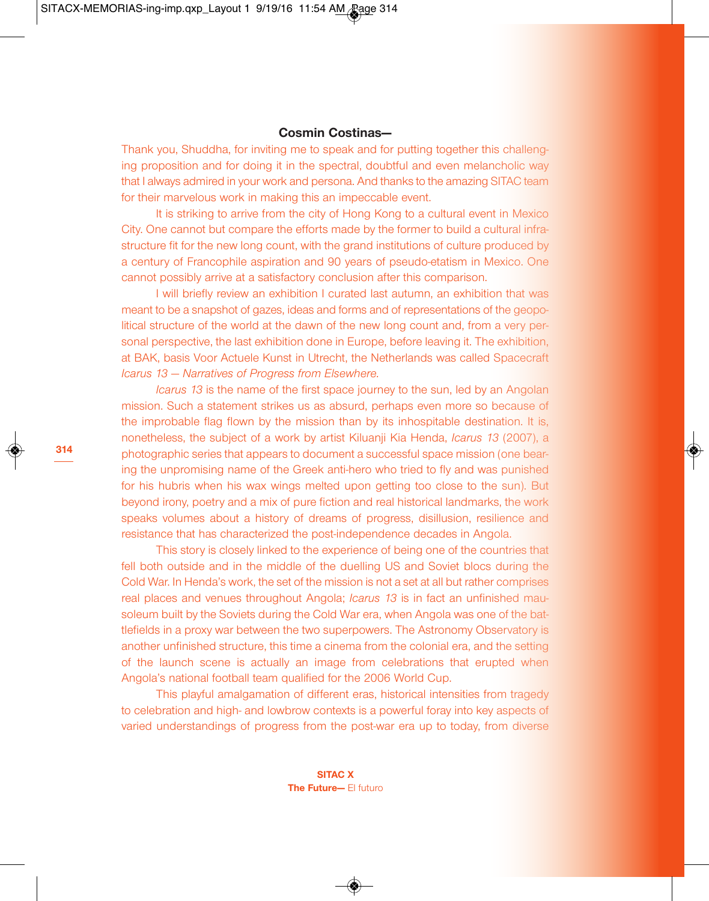## **Cosmin Costinas—**

Thank you, Shuddha, for inviting me to speak and for putting together this challenging proposition and for doing it in the spectral, doubtful and even melancholic way that I always admired in your work and persona. And thanks to the amazing SITAC team for their marvelous work in making this an impeccable event.

It is striking to arrive from the city of Hong Kong to a cultural event in Mexico City. One cannot but compare the efforts made by the former to build a cultural infrastructure fit for the new long count, with the grand institutions of culture produced by a century of Francophile aspiration and 90 years of pseudo-etatism in Mexico. One cannot possibly arrive at a satisfactory conclusion after this comparison.

I will briefly review an exhibition I curated last autumn, an exhibition that was meant to be a snapshot of gazes, ideas and forms and of representations of the geopolitical structure of the world at the dawn of the new long count and, from a very personal perspective, the last exhibition done in Europe, before leaving it. The exhibition, at BAK, basis Voor Actuele Kunst in Utrecht, the Netherlands was called Spacecraft *Icarus 13 — Narratives of Progress from Elsewhere.*

*Icarus 13* is the name of the first space journey to the sun, led by an Angolan mission. Such a statement strikes us as absurd, perhaps even more so because of the improbable flag flown by the mission than by its inhospitable destination. It is, nonetheless, the subject of a work by artist Kiluanji Kia Henda, *Icarus 13* (2007), a photographic series that appears to document a successful space mission (one bearing the unpromising name of the Greek anti-hero who tried to fly and was punished for his hubris when his wax wings melted upon getting too close to the sun). But beyond irony, poetry and a mix of pure fiction and real historical landmarks, the work speaks volumes about a history of dreams of progress, disillusion, resilience and resistance that has characterized the post-independence decades in Angola.

This story is closely linked to the experience of being one of the countries that fell both outside and in the middle of the duelling US and Soviet blocs during the Cold War. In Henda's work, the set of the mission is not a set at all but rather comprises real places and venues throughout Angola; *Icarus 13* is in fact an unfinished mausoleum built by the Soviets during the Cold War era, when Angola was one of the battlefields in a proxy war between the two superpowers. The Astronomy Observatory is another unfinished structure, this time a cinema from the colonial era, and the setting of the launch scene is actually an image from celebrations that erupted when Angola's national football team qualified for the 2006 World Cup.

This playful amalgamation of different eras, historical intensities from tragedy to celebration and high- and lowbrow contexts is a powerful foray into key aspects of varied understandings of progress from the post-war era up to today, from diverse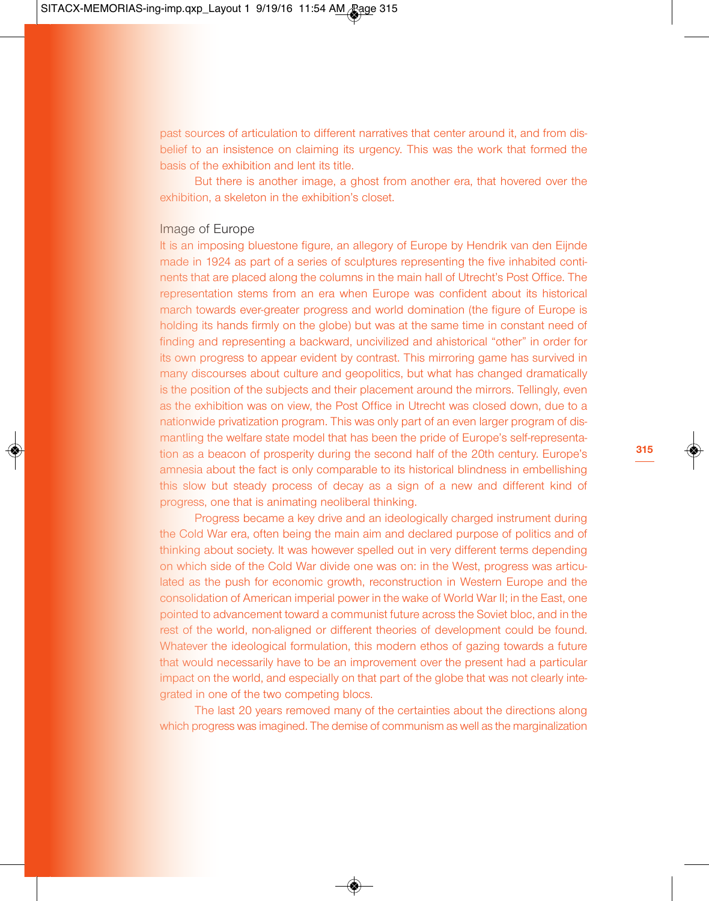past sources of articulation to different narratives that center around it, and from disbelief to an insistence on claiming its urgency. This was the work that formed the basis of the exhibition and lent its title.

But there is another image, a ghost from another era, that hovered over the exhibition, a skeleton in the exhibition's closet.

#### Image of Europe

It is an imposing bluestone figure, an allegory of Europe by Hendrik van den Eijnde made in 1924 as part of a series of sculptures representing the five inhabited continents that are placed along the columns in the main hall of Utrecht's Post Office. The representation stems from an era when Europe was confident about its historical march towards ever-greater progress and world domination (the figure of Europe is holding its hands firmly on the globe) but was at the same time in constant need of finding and representing a backward, uncivilized and ahistorical "other" in order for its own progress to appear evident by contrast. This mirroring game has survived in many discourses about culture and geopolitics, but what has changed dramatically is the position of the subjects and their placement around the mirrors. Tellingly, even as the exhibition was on view, the Post Office in Utrecht was closed down, due to a nationwide privatization program. This was only part of an even larger program of dismantling the welfare state model that has been the pride of Europe's self-representation as a beacon of prosperity during the second half of the 20th century. Europe's amnesia about the fact is only comparable to its historical blindness in embellishing this slow but steady process of decay as a sign of a new and different kind of progress, one that is animating neoliberal thinking.

Progress became a key drive and an ideologically charged instrument during the Cold War era, often being the main aim and declared purpose of politics and of thinking about society. It was however spelled out in very different terms depending on which side of the Cold War divide one was on: in the West, progress was articulated as the push for economic growth, reconstruction in Western Europe and the consolidation of American imperial power in the wake of World War II; in the East, one pointed to advancement toward a communist future across the Soviet bloc, and in the rest of the world, non-aligned or different theories of development could be found. Whatever the ideological formulation, this modern ethos of gazing towards a future that would necessarily have to be an improvement over the present had a particular impact on the world, and especially on that part of the globe that was not clearly integrated in one of the two competing blocs.

The last 20 years removed many of the certainties about the directions along which progress was imagined. The demise of communism as well as the marginalization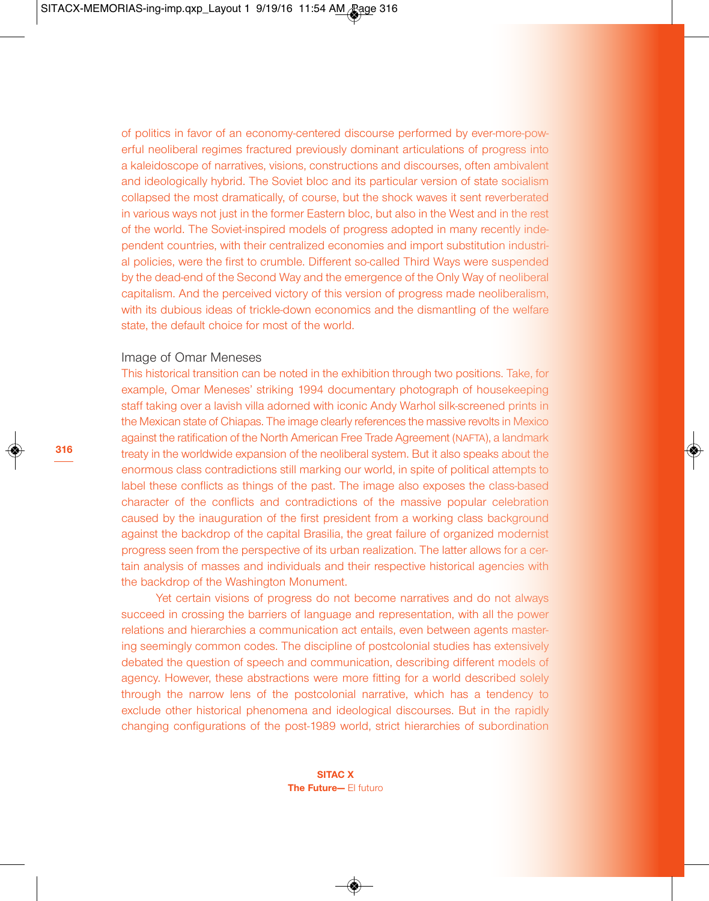of politics in favor of an economy-centered discourse performed by ever-more-powerful neoliberal regimes fractured previously dominant articulations of progress into a kaleidoscope of narratives, visions, constructions and discourses, often ambivalent and ideologically hybrid. The Soviet bloc and its particular version of state socialism collapsed the most dramatically, of course, but the shock waves it sent reverberated in various ways not just in the former Eastern bloc, but also in the West and in the rest of the world. The Soviet-inspired models of progress adopted in many recently independent countries, with their centralized economies and import substitution industrial policies, were the first to crumble. Different so-called Third Ways were suspended by the dead-end of the Second Way and the emergence of the Only Way of neoliberal capitalism. And the perceived victory of this version of progress made neoliberalism, with its dubious ideas of trickle-down economics and the dismantling of the welfare state, the default choice for most of the world.

#### Image of Omar Meneses

This historical transition can be noted in the exhibition through two positions. Take, for example, Omar Meneses' striking 1994 documentary photograph of housekeeping staff taking over a lavish villa adorned with iconic Andy Warhol silk-screened prints in the Mexican state of Chiapas. The image clearly references the massive revolts in Mexico against the ratification of the North American Free Trade Agreement (NAFTA), a landmark treaty in the worldwide expansion of the neoliberal system. But it also speaks about the enormous class contradictions still marking our world, in spite of political attempts to label these conflicts as things of the past. The image also exposes the class-based character of the conflicts and contradictions of the massive popular celebration caused by the inauguration of the first president from a working class background against the backdrop of the capital Brasilia, the great failure of organized modernist progress seen from the perspective of its urban realization. The latter allows for a certain analysis of masses and individuals and their respective historical agencies with the backdrop of the Washington Monument.

Yet certain visions of progress do not become narratives and do not always succeed in crossing the barriers of language and representation, with all the power relations and hierarchies a communication act entails, even between agents mastering seemingly common codes. The discipline of postcolonial studies has extensively debated the question of speech and communication, describing different models of agency. However, these abstractions were more fitting for a world described solely through the narrow lens of the postcolonial narrative, which has a tendency to exclude other historical phenomena and ideological discourses. But in the rapidly changing configurations of the post-1989 world, strict hierarchies of subordination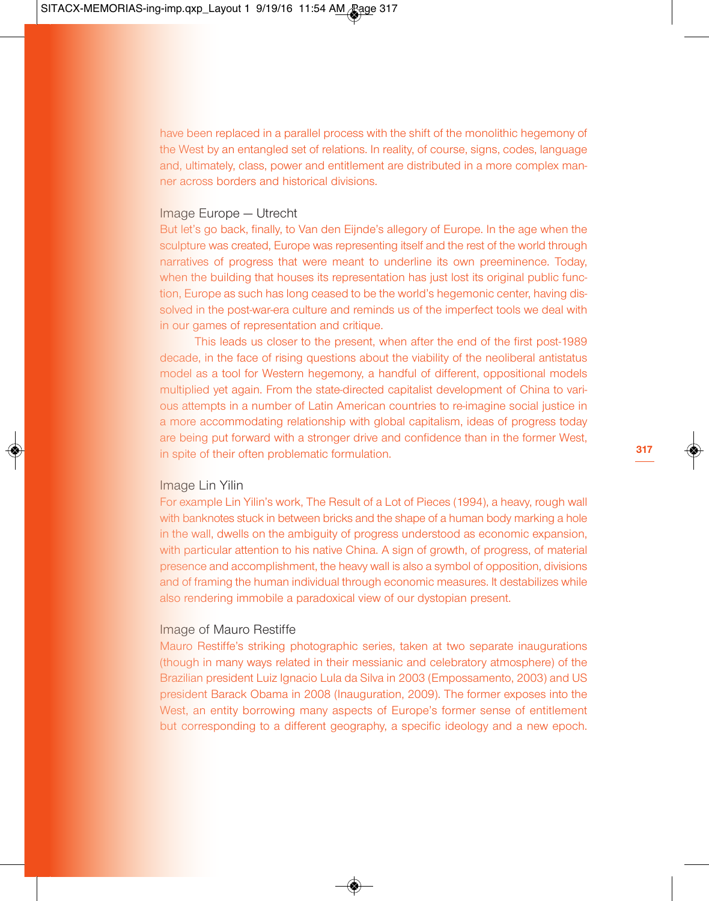have been replaced in a parallel process with the shift of the monolithic hegemony of the West by an entangled set of relations. In reality, of course, signs, codes, language and, ultimately, class, power and entitlement are distributed in a more complex manner across borders and historical divisions.

#### Image Europe — Utrecht

But let's go back, finally, to Van den Eijnde's allegory of Europe. In the age when the sculpture was created, Europe was representing itself and the rest of the world through narratives of progress that were meant to underline its own preeminence. Today, when the building that houses its representation has just lost its original public function, Europe as such has long ceased to be the world's hegemonic center, having dissolved in the post-war-era culture and reminds us of the imperfect tools we deal with in our games of representation and critique.

This leads us closer to the present, when after the end of the first post-1989 decade, in the face of rising questions about the viability of the neoliberal antistatus model as a tool for Western hegemony, a handful of different, oppositional models multiplied yet again. From the state-directed capitalist development of China to various attempts in a number of Latin American countries to re-imagine social justice in a more accommodating relationship with global capitalism, ideas of progress today are being put forward with a stronger drive and confidence than in the former West, in spite of their often problematic formulation.

#### Image Lin Yilin

For example Lin Yilin's work, The Result of a Lot of Pieces (1994), a heavy, rough wall with banknotes stuck in between bricks and the shape of a human body marking a hole in the wall, dwells on the ambiguity of progress understood as economic expansion, with particular attention to his native China. A sign of growth, of progress, of material presence and accomplishment, the heavy wall is also a symbol of opposition, divisions and of framing the human individual through economic measures. It destabilizes while also rendering immobile a paradoxical view of our dystopian present.

### Image of Mauro Restiffe

Mauro Restiffe's striking photographic series, taken at two separate inaugurations (though in many ways related in their messianic and celebratory atmosphere) of the Brazilian president Luiz Ignacio Lula da Silva in 2003 (Empossamento, 2003) and US president Barack Obama in 2008 (Inauguration, 2009). The former exposes into the West, an entity borrowing many aspects of Europe's former sense of entitlement but corresponding to a different geography, a specific ideology and a new epoch.